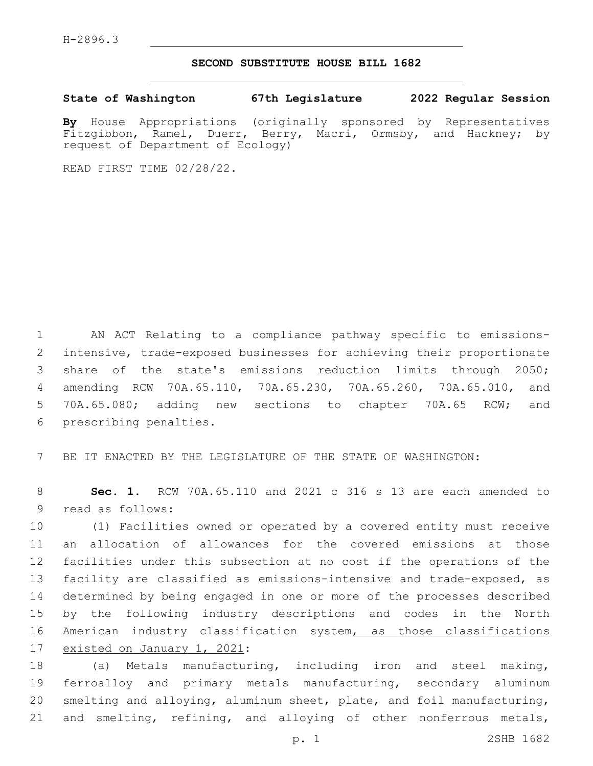## **SECOND SUBSTITUTE HOUSE BILL 1682**

**State of Washington 67th Legislature 2022 Regular Session**

**By** House Appropriations (originally sponsored by Representatives Fitzgibbon, Ramel, Duerr, Berry, Macri, Ormsby, and Hackney; by request of Department of Ecology)

READ FIRST TIME 02/28/22.

 AN ACT Relating to a compliance pathway specific to emissions- intensive, trade-exposed businesses for achieving their proportionate share of the state's emissions reduction limits through 2050; amending RCW 70A.65.110, 70A.65.230, 70A.65.260, 70A.65.010, and 70A.65.080; adding new sections to chapter 70A.65 RCW; and 6 prescribing penalties.

7 BE IT ENACTED BY THE LEGISLATURE OF THE STATE OF WASHINGTON:

8 **Sec. 1.** RCW 70A.65.110 and 2021 c 316 s 13 are each amended to 9 read as follows:

 (1) Facilities owned or operated by a covered entity must receive an allocation of allowances for the covered emissions at those facilities under this subsection at no cost if the operations of the facility are classified as emissions-intensive and trade-exposed, as determined by being engaged in one or more of the processes described by the following industry descriptions and codes in the North 16 American industry classification system, as those classifications 17 existed on January 1, 2021:

 (a) Metals manufacturing, including iron and steel making, ferroalloy and primary metals manufacturing, secondary aluminum smelting and alloying, aluminum sheet, plate, and foil manufacturing, and smelting, refining, and alloying of other nonferrous metals,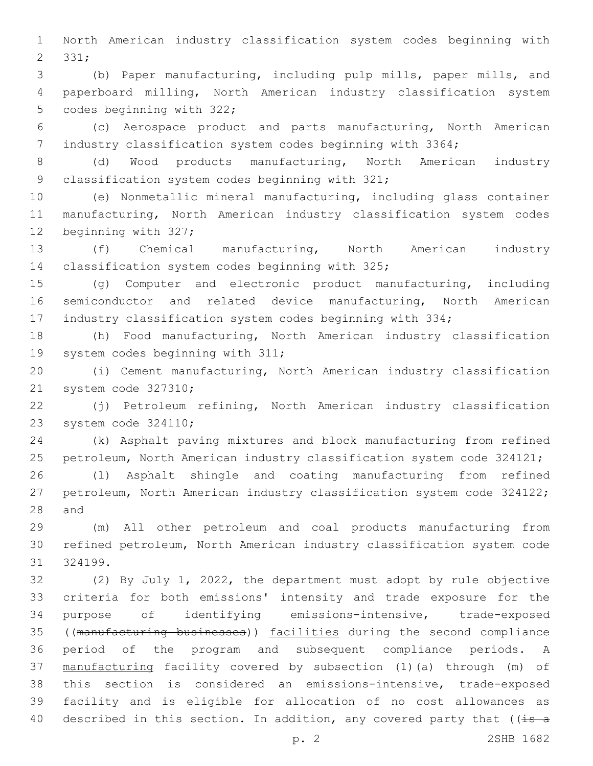North American industry classification system codes beginning with 2 331;

 (b) Paper manufacturing, including pulp mills, paper mills, and paperboard milling, North American industry classification system 5 codes beginning with 322;

 (c) Aerospace product and parts manufacturing, North American industry classification system codes beginning with 3364;

 (d) Wood products manufacturing, North American industry 9 classification system codes beginning with 321;

 (e) Nonmetallic mineral manufacturing, including glass container manufacturing, North American industry classification system codes 12 beginning with 327;

 (f) Chemical manufacturing, North American industry 14 classification system codes beginning with 325;

 (g) Computer and electronic product manufacturing, including semiconductor and related device manufacturing, North American industry classification system codes beginning with 334;

 (h) Food manufacturing, North American industry classification 19 system codes beginning with 311;

 (i) Cement manufacturing, North American industry classification 21 system code 327310;

 (j) Petroleum refining, North American industry classification 23 system code 324110;

 (k) Asphalt paving mixtures and block manufacturing from refined petroleum, North American industry classification system code 324121;

 (l) Asphalt shingle and coating manufacturing from refined petroleum, North American industry classification system code 324122; 28 and

 (m) All other petroleum and coal products manufacturing from refined petroleum, North American industry classification system code 324199.

 (2) By July 1, 2022, the department must adopt by rule objective criteria for both emissions' intensity and trade exposure for the purpose of identifying emissions-intensive, trade-exposed ((manufacturing businesses)) facilities during the second compliance period of the program and subsequent compliance periods. A manufacturing facility covered by subsection (1)(a) through (m) of this section is considered an emissions-intensive, trade-exposed facility and is eligible for allocation of no cost allowances as 40 described in this section. In addition, any covered party that ( $(i=5a$ 

p. 2 2SHB 1682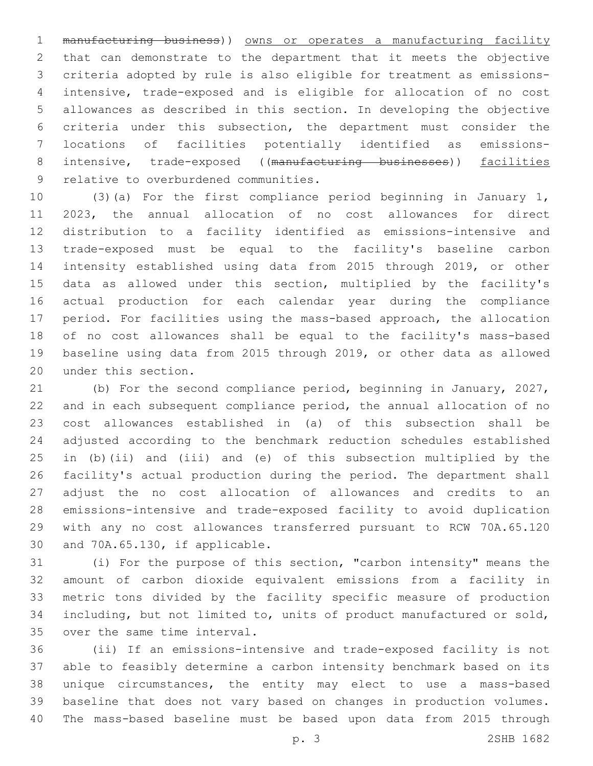manufacturing business)) owns or operates a manufacturing facility that can demonstrate to the department that it meets the objective criteria adopted by rule is also eligible for treatment as emissions- intensive, trade-exposed and is eligible for allocation of no cost allowances as described in this section. In developing the objective criteria under this subsection, the department must consider the locations of facilities potentially identified as emissions-8 intensive, trade-exposed ((manufacturing businesses)) facilities 9 relative to overburdened communities.

 (3)(a) For the first compliance period beginning in January 1, 2023, the annual allocation of no cost allowances for direct distribution to a facility identified as emissions-intensive and trade-exposed must be equal to the facility's baseline carbon intensity established using data from 2015 through 2019, or other data as allowed under this section, multiplied by the facility's actual production for each calendar year during the compliance period. For facilities using the mass-based approach, the allocation of no cost allowances shall be equal to the facility's mass-based baseline using data from 2015 through 2019, or other data as allowed 20 under this section.

 (b) For the second compliance period, beginning in January, 2027, and in each subsequent compliance period, the annual allocation of no cost allowances established in (a) of this subsection shall be adjusted according to the benchmark reduction schedules established in (b)(ii) and (iii) and (e) of this subsection multiplied by the facility's actual production during the period. The department shall adjust the no cost allocation of allowances and credits to an emissions-intensive and trade-exposed facility to avoid duplication with any no cost allowances transferred pursuant to RCW 70A.65.120 30 and 70A.65.130, if applicable.

 (i) For the purpose of this section, "carbon intensity" means the amount of carbon dioxide equivalent emissions from a facility in metric tons divided by the facility specific measure of production including, but not limited to, units of product manufactured or sold, 35 over the same time interval.

 (ii) If an emissions-intensive and trade-exposed facility is not able to feasibly determine a carbon intensity benchmark based on its unique circumstances, the entity may elect to use a mass-based baseline that does not vary based on changes in production volumes. The mass-based baseline must be based upon data from 2015 through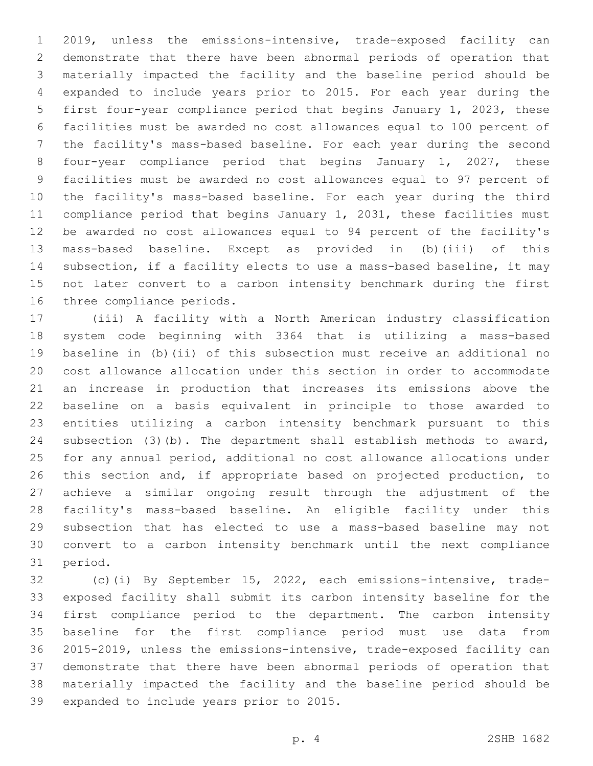2019, unless the emissions-intensive, trade-exposed facility can demonstrate that there have been abnormal periods of operation that materially impacted the facility and the baseline period should be expanded to include years prior to 2015. For each year during the first four-year compliance period that begins January 1, 2023, these facilities must be awarded no cost allowances equal to 100 percent of the facility's mass-based baseline. For each year during the second four-year compliance period that begins January 1, 2027, these facilities must be awarded no cost allowances equal to 97 percent of the facility's mass-based baseline. For each year during the third compliance period that begins January 1, 2031, these facilities must be awarded no cost allowances equal to 94 percent of the facility's mass-based baseline. Except as provided in (b)(iii) of this subsection, if a facility elects to use a mass-based baseline, it may not later convert to a carbon intensity benchmark during the first 16 three compliance periods.

 (iii) A facility with a North American industry classification system code beginning with 3364 that is utilizing a mass-based baseline in (b)(ii) of this subsection must receive an additional no cost allowance allocation under this section in order to accommodate an increase in production that increases its emissions above the baseline on a basis equivalent in principle to those awarded to entities utilizing a carbon intensity benchmark pursuant to this subsection (3)(b). The department shall establish methods to award, for any annual period, additional no cost allowance allocations under this section and, if appropriate based on projected production, to achieve a similar ongoing result through the adjustment of the facility's mass-based baseline. An eligible facility under this subsection that has elected to use a mass-based baseline may not convert to a carbon intensity benchmark until the next compliance 31 period.

 (c)(i) By September 15, 2022, each emissions-intensive, trade- exposed facility shall submit its carbon intensity baseline for the first compliance period to the department. The carbon intensity baseline for the first compliance period must use data from 2015-2019, unless the emissions-intensive, trade-exposed facility can demonstrate that there have been abnormal periods of operation that materially impacted the facility and the baseline period should be 39 expanded to include years prior to 2015.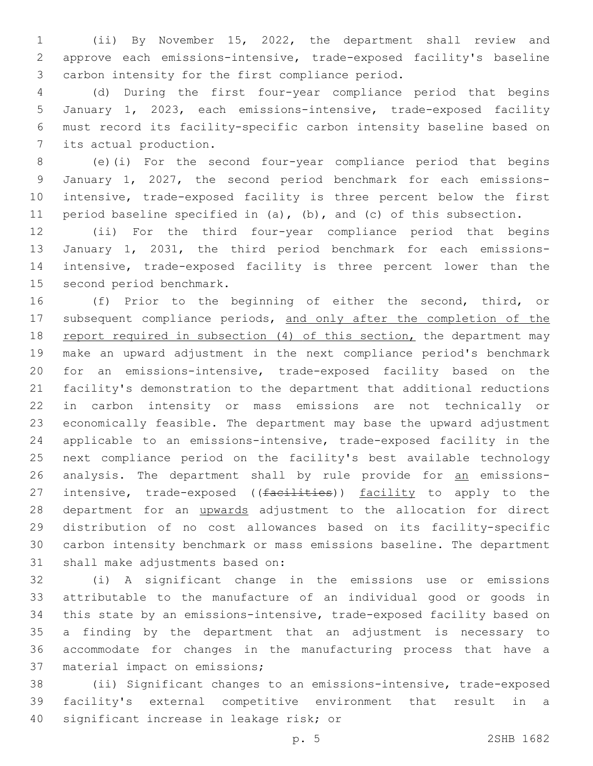(ii) By November 15, 2022, the department shall review and approve each emissions-intensive, trade-exposed facility's baseline 3 carbon intensity for the first compliance period.

 (d) During the first four-year compliance period that begins January 1, 2023, each emissions-intensive, trade-exposed facility must record its facility-specific carbon intensity baseline based on 7 its actual production.

 (e)(i) For the second four-year compliance period that begins January 1, 2027, the second period benchmark for each emissions- intensive, trade-exposed facility is three percent below the first period baseline specified in (a), (b), and (c) of this subsection.

 (ii) For the third four-year compliance period that begins January 1, 2031, the third period benchmark for each emissions- intensive, trade-exposed facility is three percent lower than the 15 second period benchmark.

 (f) Prior to the beginning of either the second, third, or 17 subsequent compliance periods, and only after the completion of the 18 report required in subsection (4) of this section, the department may make an upward adjustment in the next compliance period's benchmark for an emissions-intensive, trade-exposed facility based on the facility's demonstration to the department that additional reductions in carbon intensity or mass emissions are not technically or economically feasible. The department may base the upward adjustment applicable to an emissions-intensive, trade-exposed facility in the next compliance period on the facility's best available technology 26 analysis. The department shall by rule provide for an emissions-27 intensive, trade-exposed ((facilities)) facility to apply to the 28 department for an upwards adjustment to the allocation for direct distribution of no cost allowances based on its facility-specific carbon intensity benchmark or mass emissions baseline. The department 31 shall make adjustments based on:

 (i) A significant change in the emissions use or emissions attributable to the manufacture of an individual good or goods in this state by an emissions-intensive, trade-exposed facility based on a finding by the department that an adjustment is necessary to accommodate for changes in the manufacturing process that have a 37 material impact on emissions;

 (ii) Significant changes to an emissions-intensive, trade-exposed facility's external competitive environment that result in a 40 significant increase in leakage risk; or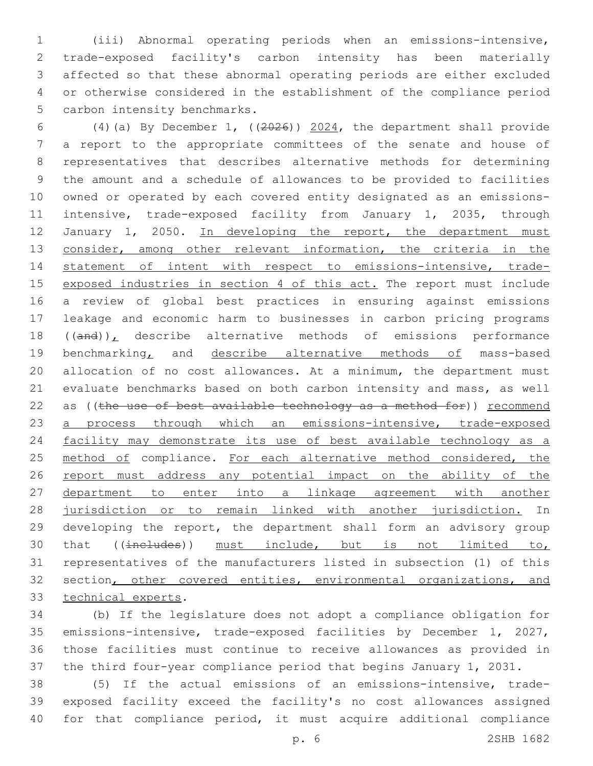(iii) Abnormal operating periods when an emissions-intensive, trade-exposed facility's carbon intensity has been materially affected so that these abnormal operating periods are either excluded or otherwise considered in the establishment of the compliance period 5 carbon intensity benchmarks.

 (4)(a) By December 1, ((2026)) 2024, the department shall provide a report to the appropriate committees of the senate and house of representatives that describes alternative methods for determining the amount and a schedule of allowances to be provided to facilities owned or operated by each covered entity designated as an emissions- intensive, trade-exposed facility from January 1, 2035, through 12 January 1, 2050. In developing the report, the department must 13 consider, among other relevant information, the criteria in the statement of intent with respect to emissions-intensive, trade- exposed industries in section 4 of this act. The report must include a review of global best practices in ensuring against emissions leakage and economic harm to businesses in carbon pricing programs ((and)), describe alternative methods of emissions performance 19 benchmarking, and describe alternative methods of mass-based allocation of no cost allowances. At a minimum, the department must evaluate benchmarks based on both carbon intensity and mass, as well 22 as ((the use of best available technology as a method for)) recommend a process through which an emissions-intensive, trade-exposed facility may demonstrate its use of best available technology as a 25 method of compliance. For each alternative method considered, the 26 report must address any potential impact on the ability of the department to enter into a linkage agreement with another jurisdiction or to remain linked with another jurisdiction. In developing the report, the department shall form an advisory group that ((includes)) must include, but is not limited to, representatives of the manufacturers listed in subsection (1) of this 32 section, other covered entities, environmental organizations, and 33 technical experts.

 (b) If the legislature does not adopt a compliance obligation for emissions-intensive, trade-exposed facilities by December 1, 2027, those facilities must continue to receive allowances as provided in the third four-year compliance period that begins January 1, 2031.

 (5) If the actual emissions of an emissions-intensive, trade- exposed facility exceed the facility's no cost allowances assigned for that compliance period, it must acquire additional compliance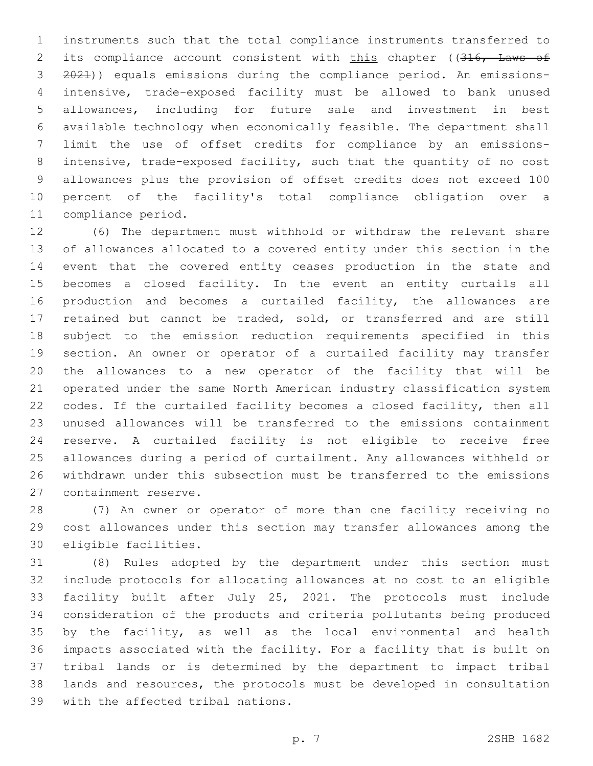instruments such that the total compliance instruments transferred to 2 its compliance account consistent with this chapter ((316, Laws of 2021)) equals emissions during the compliance period. An emissions- intensive, trade-exposed facility must be allowed to bank unused allowances, including for future sale and investment in best available technology when economically feasible. The department shall limit the use of offset credits for compliance by an emissions- intensive, trade-exposed facility, such that the quantity of no cost allowances plus the provision of offset credits does not exceed 100 percent of the facility's total compliance obligation over a 11 compliance period.

 (6) The department must withhold or withdraw the relevant share of allowances allocated to a covered entity under this section in the event that the covered entity ceases production in the state and becomes a closed facility. In the event an entity curtails all production and becomes a curtailed facility, the allowances are retained but cannot be traded, sold, or transferred and are still subject to the emission reduction requirements specified in this section. An owner or operator of a curtailed facility may transfer the allowances to a new operator of the facility that will be operated under the same North American industry classification system codes. If the curtailed facility becomes a closed facility, then all unused allowances will be transferred to the emissions containment reserve. A curtailed facility is not eligible to receive free allowances during a period of curtailment. Any allowances withheld or withdrawn under this subsection must be transferred to the emissions 27 containment reserve.

 (7) An owner or operator of more than one facility receiving no cost allowances under this section may transfer allowances among the 30 eligible facilities.

 (8) Rules adopted by the department under this section must include protocols for allocating allowances at no cost to an eligible facility built after July 25, 2021. The protocols must include consideration of the products and criteria pollutants being produced by the facility, as well as the local environmental and health impacts associated with the facility. For a facility that is built on tribal lands or is determined by the department to impact tribal lands and resources, the protocols must be developed in consultation 39 with the affected tribal nations.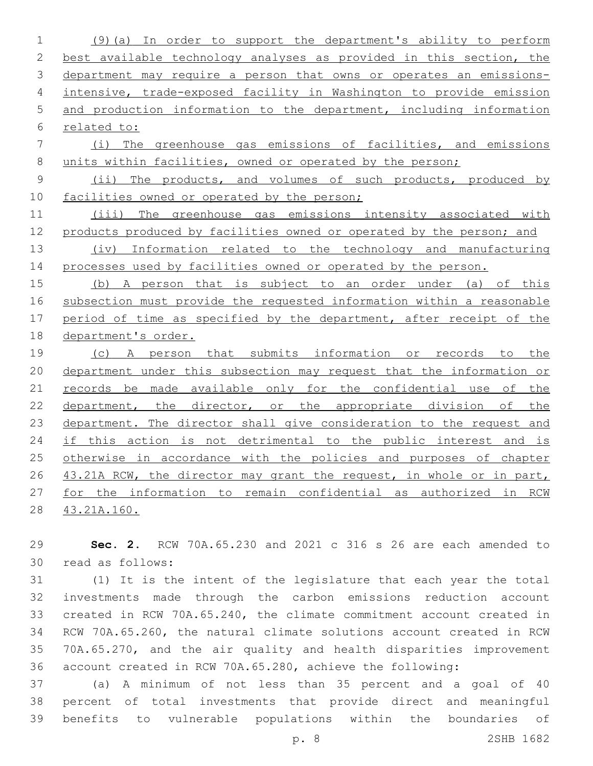(9)(a) In order to support the department's ability to perform best available technology analyses as provided in this section, the department may require a person that owns or operates an emissions- intensive, trade-exposed facility in Washington to provide emission and production information to the department, including information related to: (i) The greenhouse gas emissions of facilities, and emissions 8 units within facilities, owned or operated by the person; 9 (ii) The products, and volumes of such products, produced by 10 facilities owned or operated by the person; (iii) The greenhouse gas emissions intensity associated with products produced by facilities owned or operated by the person; and (iv) Information related to the technology and manufacturing processes used by facilities owned or operated by the person. (b) A person that is subject to an order under (a) of this subsection must provide the requested information within a reasonable 17 period of time as specified by the department, after receipt of the department's order. (c) A person that submits information or records to the department under this subsection may request that the information or 21 records be made available only for the confidential use of the 22 department, the director, or the appropriate division of the department. The director shall give consideration to the request and 24 if this action is not detrimental to the public interest and is 25 otherwise in accordance with the policies and purposes of chapter 26 43.21A RCW, the director may grant the request, in whole or in part,

43.21A.160.

 **Sec. 2.** RCW 70A.65.230 and 2021 c 316 s 26 are each amended to read as follows:30

for the information to remain confidential as authorized in RCW

 (1) It is the intent of the legislature that each year the total investments made through the carbon emissions reduction account created in RCW 70A.65.240, the climate commitment account created in RCW 70A.65.260, the natural climate solutions account created in RCW 70A.65.270, and the air quality and health disparities improvement account created in RCW 70A.65.280, achieve the following:

 (a) A minimum of not less than 35 percent and a goal of 40 percent of total investments that provide direct and meaningful benefits to vulnerable populations within the boundaries of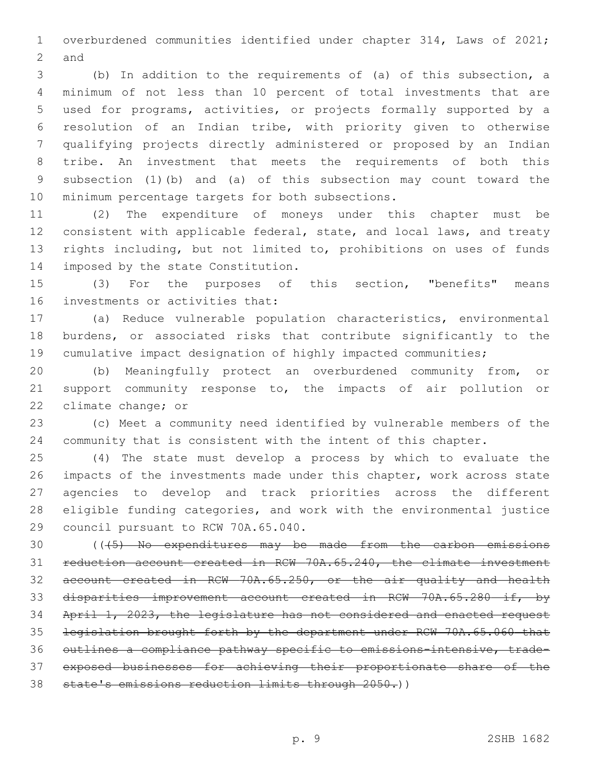overburdened communities identified under chapter 314, Laws of 2021; 2 and

 (b) In addition to the requirements of (a) of this subsection, a minimum of not less than 10 percent of total investments that are used for programs, activities, or projects formally supported by a resolution of an Indian tribe, with priority given to otherwise qualifying projects directly administered or proposed by an Indian tribe. An investment that meets the requirements of both this subsection (1)(b) and (a) of this subsection may count toward the 10 minimum percentage targets for both subsections.

 (2) The expenditure of moneys under this chapter must be consistent with applicable federal, state, and local laws, and treaty rights including, but not limited to, prohibitions on uses of funds 14 imposed by the state Constitution.

 (3) For the purposes of this section, "benefits" means 16 investments or activities that:

 (a) Reduce vulnerable population characteristics, environmental burdens, or associated risks that contribute significantly to the cumulative impact designation of highly impacted communities;

 (b) Meaningfully protect an overburdened community from, or support community response to, the impacts of air pollution or 22 climate change; or

 (c) Meet a community need identified by vulnerable members of the community that is consistent with the intent of this chapter.

 (4) The state must develop a process by which to evaluate the impacts of the investments made under this chapter, work across state agencies to develop and track priorities across the different eligible funding categories, and work with the environmental justice 29 council pursuant to RCW 70A.65.040.

 (((5) No expenditures may be made from the carbon emissions reduction account created in RCW 70A.65.240, the climate investment account created in RCW 70A.65.250, or the air quality and health disparities improvement account created in RCW 70A.65.280 if, by April 1, 2023, the legislature has not considered and enacted request legislation brought forth by the department under RCW 70A.65.060 that outlines a compliance pathway specific to emissions-intensive, trade- exposed businesses for achieving their proportionate share of the 38 state's emissions reduction limits through 2050.))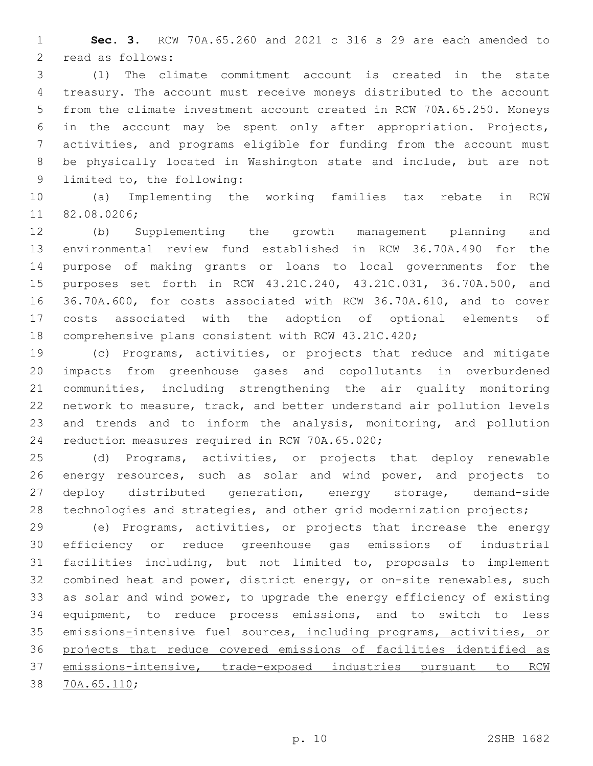**Sec. 3.** RCW 70A.65.260 and 2021 c 316 s 29 are each amended to 2 read as follows:

 (1) The climate commitment account is created in the state treasury. The account must receive moneys distributed to the account from the climate investment account created in RCW 70A.65.250. Moneys in the account may be spent only after appropriation. Projects, activities, and programs eligible for funding from the account must be physically located in Washington state and include, but are not 9 limited to, the following:

 (a) Implementing the working families tax rebate in RCW 11 82.08.0206;

 (b) Supplementing the growth management planning and environmental review fund established in RCW 36.70A.490 for the purpose of making grants or loans to local governments for the purposes set forth in RCW 43.21C.240, 43.21C.031, 36.70A.500, and 36.70A.600, for costs associated with RCW 36.70A.610, and to cover costs associated with the adoption of optional elements of comprehensive plans consistent with RCW 43.21C.420;

 (c) Programs, activities, or projects that reduce and mitigate impacts from greenhouse gases and copollutants in overburdened communities, including strengthening the air quality monitoring network to measure, track, and better understand air pollution levels and trends and to inform the analysis, monitoring, and pollution 24 reduction measures required in RCW 70A.65.020;

 (d) Programs, activities, or projects that deploy renewable energy resources, such as solar and wind power, and projects to deploy distributed generation, energy storage, demand-side technologies and strategies, and other grid modernization projects;

 (e) Programs, activities, or projects that increase the energy efficiency or reduce greenhouse gas emissions of industrial facilities including, but not limited to, proposals to implement combined heat and power, district energy, or on-site renewables, such as solar and wind power, to upgrade the energy efficiency of existing equipment, to reduce process emissions, and to switch to less 35 emissions-intensive fuel sources, including programs, activities, or projects that reduce covered emissions of facilities identified as emissions-intensive, trade-exposed industries pursuant to RCW 38 70A.65.110;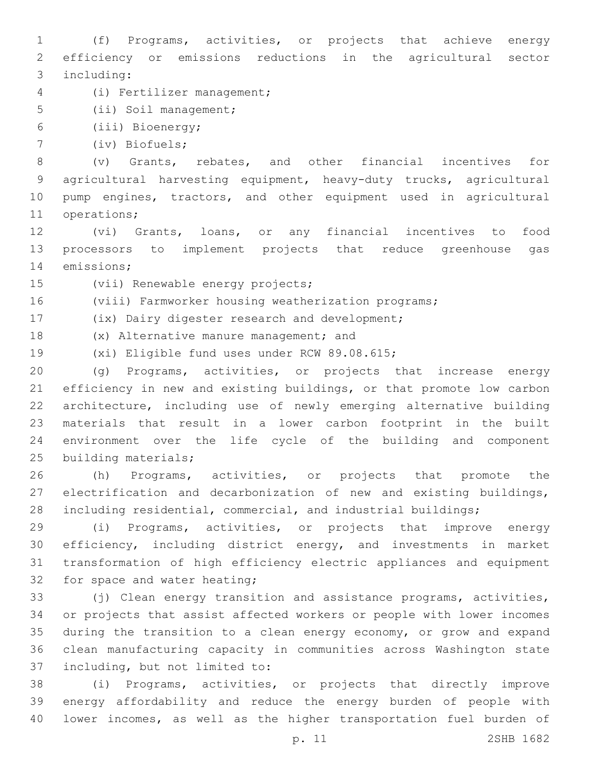(f) Programs, activities, or projects that achieve energy efficiency or emissions reductions in the agricultural sector 3 including:

(i) Fertilizer management;4

5 (ii) Soil management;

(iii) Bioenergy;6

(iv) Biofuels;7

 (v) Grants, rebates, and other financial incentives for agricultural harvesting equipment, heavy-duty trucks, agricultural pump engines, tractors, and other equipment used in agricultural 11 operations;

 (vi) Grants, loans, or any financial incentives to food processors to implement projects that reduce greenhouse gas 14 emissions;

15 (vii) Renewable energy projects;

(viii) Farmworker housing weatherization programs;

17 (ix) Dairy digester research and development;

18 (x) Alternative manure management; and

19 (xi) Eligible fund uses under RCW 89.08.615;

 (g) Programs, activities, or projects that increase energy efficiency in new and existing buildings, or that promote low carbon architecture, including use of newly emerging alternative building materials that result in a lower carbon footprint in the built environment over the life cycle of the building and component 25 building materials;

 (h) Programs, activities, or projects that promote the electrification and decarbonization of new and existing buildings, including residential, commercial, and industrial buildings;

 (i) Programs, activities, or projects that improve energy efficiency, including district energy, and investments in market transformation of high efficiency electric appliances and equipment 32 for space and water heating;

 (j) Clean energy transition and assistance programs, activities, or projects that assist affected workers or people with lower incomes during the transition to a clean energy economy, or grow and expand clean manufacturing capacity in communities across Washington state 37 including, but not limited to:

 (i) Programs, activities, or projects that directly improve energy affordability and reduce the energy burden of people with lower incomes, as well as the higher transportation fuel burden of

p. 11 2SHB 1682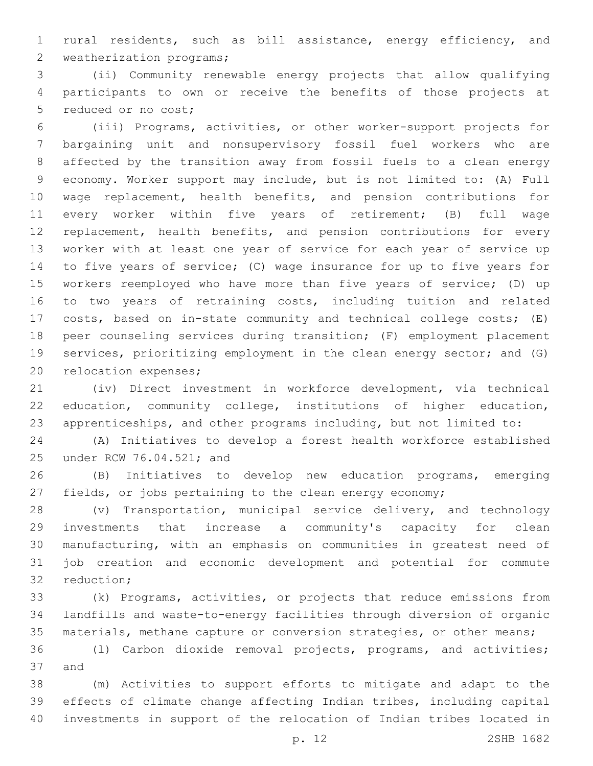rural residents, such as bill assistance, energy efficiency, and 2 weatherization programs;

 (ii) Community renewable energy projects that allow qualifying participants to own or receive the benefits of those projects at 5 reduced or no cost;

 (iii) Programs, activities, or other worker-support projects for bargaining unit and nonsupervisory fossil fuel workers who are affected by the transition away from fossil fuels to a clean energy economy. Worker support may include, but is not limited to: (A) Full wage replacement, health benefits, and pension contributions for every worker within five years of retirement; (B) full wage 12 replacement, health benefits, and pension contributions for every worker with at least one year of service for each year of service up to five years of service; (C) wage insurance for up to five years for workers reemployed who have more than five years of service; (D) up to two years of retraining costs, including tuition and related costs, based on in-state community and technical college costs; (E) peer counseling services during transition; (F) employment placement services, prioritizing employment in the clean energy sector; and (G) 20 relocation expenses;

 (iv) Direct investment in workforce development, via technical education, community college, institutions of higher education, apprenticeships, and other programs including, but not limited to:

 (A) Initiatives to develop a forest health workforce established 25 under RCW 76.04.521; and

 (B) Initiatives to develop new education programs, emerging fields, or jobs pertaining to the clean energy economy;

 (v) Transportation, municipal service delivery, and technology investments that increase a community's capacity for clean manufacturing, with an emphasis on communities in greatest need of job creation and economic development and potential for commute 32 reduction;

 (k) Programs, activities, or projects that reduce emissions from landfills and waste-to-energy facilities through diversion of organic materials, methane capture or conversion strategies, or other means;

 (l) Carbon dioxide removal projects, programs, and activities; 37 and

 (m) Activities to support efforts to mitigate and adapt to the effects of climate change affecting Indian tribes, including capital investments in support of the relocation of Indian tribes located in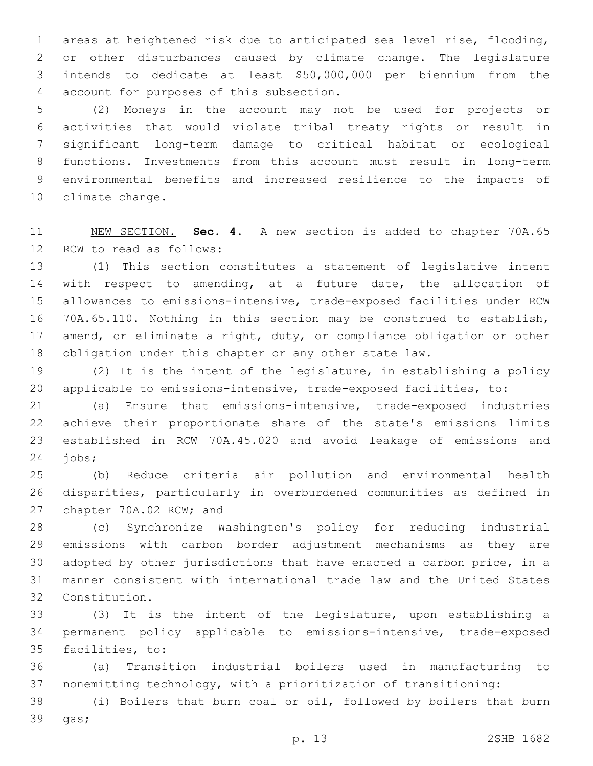areas at heightened risk due to anticipated sea level rise, flooding, or other disturbances caused by climate change. The legislature intends to dedicate at least \$50,000,000 per biennium from the account for purposes of this subsection.4

 (2) Moneys in the account may not be used for projects or activities that would violate tribal treaty rights or result in significant long-term damage to critical habitat or ecological functions. Investments from this account must result in long-term environmental benefits and increased resilience to the impacts of 10 climate change.

 NEW SECTION. **Sec. 4.** A new section is added to chapter 70A.65 12 RCW to read as follows:

 (1) This section constitutes a statement of legislative intent with respect to amending, at a future date, the allocation of allowances to emissions-intensive, trade-exposed facilities under RCW 70A.65.110. Nothing in this section may be construed to establish, 17 amend, or eliminate a right, duty, or compliance obligation or other obligation under this chapter or any other state law.

 (2) It is the intent of the legislature, in establishing a policy applicable to emissions-intensive, trade-exposed facilities, to:

 (a) Ensure that emissions-intensive, trade-exposed industries achieve their proportionate share of the state's emissions limits established in RCW 70A.45.020 and avoid leakage of emissions and  $24 \text{ jobs}$ ;

 (b) Reduce criteria air pollution and environmental health disparities, particularly in overburdened communities as defined in 27 chapter 70A.02 RCW; and

 (c) Synchronize Washington's policy for reducing industrial emissions with carbon border adjustment mechanisms as they are adopted by other jurisdictions that have enacted a carbon price, in a manner consistent with international trade law and the United States Constitution.32

 (3) It is the intent of the legislature, upon establishing a permanent policy applicable to emissions-intensive, trade-exposed 35 facilities, to:

 (a) Transition industrial boilers used in manufacturing to nonemitting technology, with a prioritization of transitioning:

 (i) Boilers that burn coal or oil, followed by boilers that burn 39 gas;

p. 13 2SHB 1682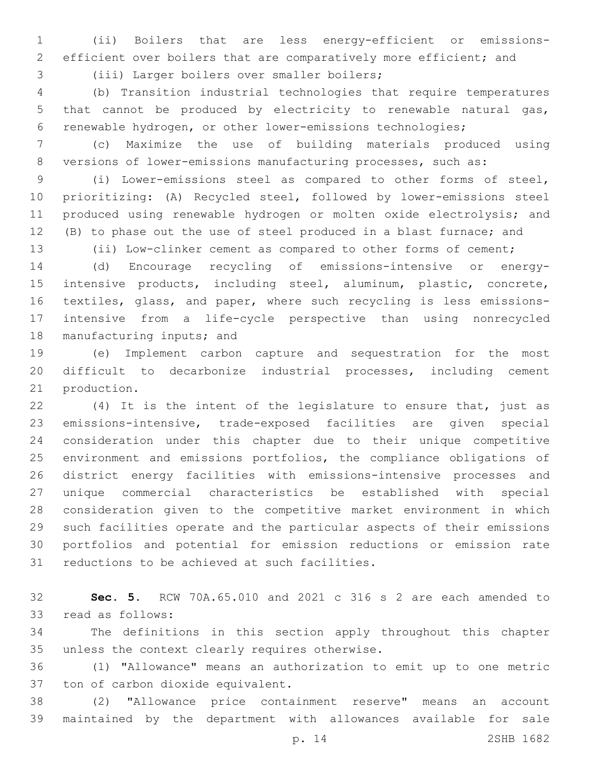(ii) Boilers that are less energy-efficient or emissions-efficient over boilers that are comparatively more efficient; and

3 (iii) Larger boilers over smaller boilers;

 (b) Transition industrial technologies that require temperatures that cannot be produced by electricity to renewable natural gas, renewable hydrogen, or other lower-emissions technologies;

 (c) Maximize the use of building materials produced using versions of lower-emissions manufacturing processes, such as:

 (i) Lower-emissions steel as compared to other forms of steel, prioritizing: (A) Recycled steel, followed by lower-emissions steel produced using renewable hydrogen or molten oxide electrolysis; and (B) to phase out the use of steel produced in a blast furnace; and

(ii) Low-clinker cement as compared to other forms of cement;

 (d) Encourage recycling of emissions-intensive or energy- intensive products, including steel, aluminum, plastic, concrete, textiles, glass, and paper, where such recycling is less emissions- intensive from a life-cycle perspective than using nonrecycled 18 manufacturing inputs; and

 (e) Implement carbon capture and sequestration for the most difficult to decarbonize industrial processes, including cement 21 production.

 (4) It is the intent of the legislature to ensure that, just as emissions-intensive, trade-exposed facilities are given special consideration under this chapter due to their unique competitive environment and emissions portfolios, the compliance obligations of district energy facilities with emissions-intensive processes and unique commercial characteristics be established with special consideration given to the competitive market environment in which such facilities operate and the particular aspects of their emissions portfolios and potential for emission reductions or emission rate 31 reductions to be achieved at such facilities.

 **Sec. 5.** RCW 70A.65.010 and 2021 c 316 s 2 are each amended to read as follows:33

 The definitions in this section apply throughout this chapter 35 unless the context clearly requires otherwise.

 (1) "Allowance" means an authorization to emit up to one metric 37 ton of carbon dioxide equivalent.

 (2) "Allowance price containment reserve" means an account maintained by the department with allowances available for sale

p. 14 2SHB 1682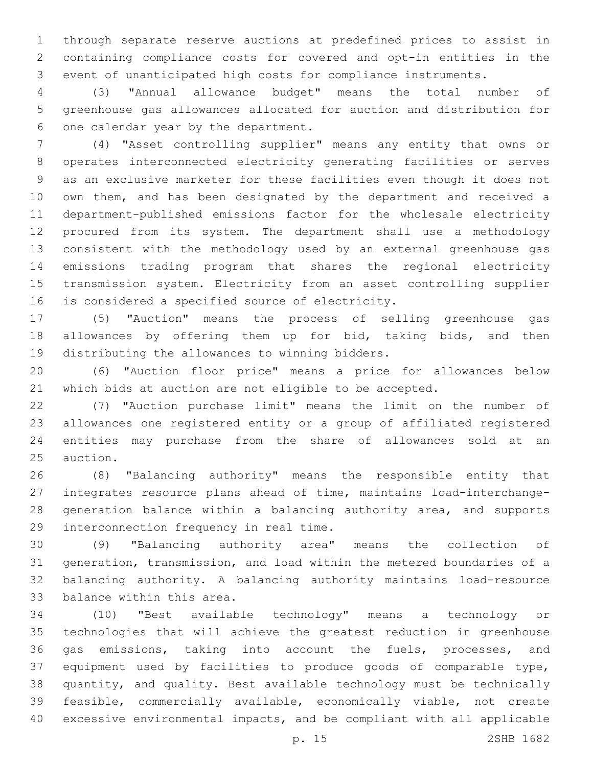through separate reserve auctions at predefined prices to assist in containing compliance costs for covered and opt-in entities in the event of unanticipated high costs for compliance instruments.

 (3) "Annual allowance budget" means the total number of greenhouse gas allowances allocated for auction and distribution for 6 one calendar year by the department.

 (4) "Asset controlling supplier" means any entity that owns or operates interconnected electricity generating facilities or serves as an exclusive marketer for these facilities even though it does not own them, and has been designated by the department and received a department-published emissions factor for the wholesale electricity procured from its system. The department shall use a methodology consistent with the methodology used by an external greenhouse gas emissions trading program that shares the regional electricity transmission system. Electricity from an asset controlling supplier 16 is considered a specified source of electricity.

 (5) "Auction" means the process of selling greenhouse gas 18 allowances by offering them up for bid, taking bids, and then 19 distributing the allowances to winning bidders.

 (6) "Auction floor price" means a price for allowances below which bids at auction are not eligible to be accepted.

 (7) "Auction purchase limit" means the limit on the number of allowances one registered entity or a group of affiliated registered entities may purchase from the share of allowances sold at an 25 auction.

 (8) "Balancing authority" means the responsible entity that integrates resource plans ahead of time, maintains load-interchange- generation balance within a balancing authority area, and supports 29 interconnection frequency in real time.

 (9) "Balancing authority area" means the collection of generation, transmission, and load within the metered boundaries of a balancing authority. A balancing authority maintains load-resource 33 balance within this area.

 (10) "Best available technology" means a technology or technologies that will achieve the greatest reduction in greenhouse gas emissions, taking into account the fuels, processes, and equipment used by facilities to produce goods of comparable type, quantity, and quality. Best available technology must be technically feasible, commercially available, economically viable, not create excessive environmental impacts, and be compliant with all applicable

p. 15 2SHB 1682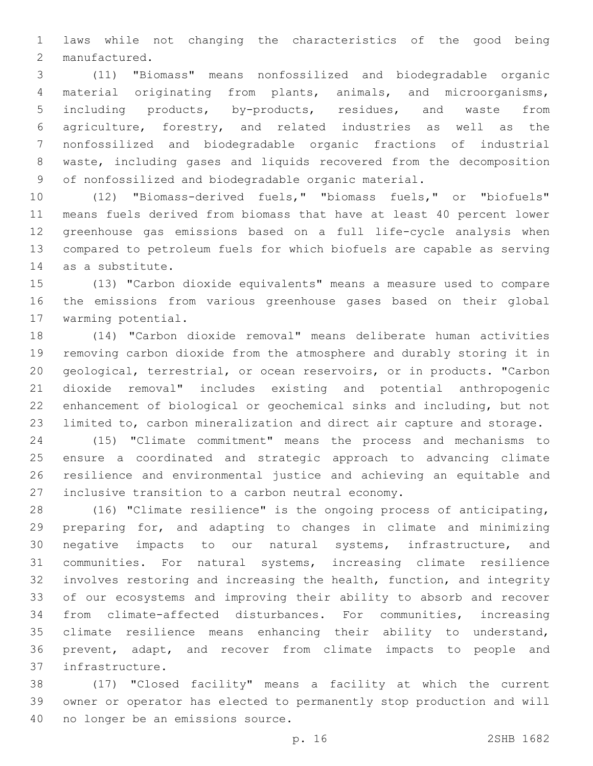laws while not changing the characteristics of the good being 2 manufactured.

 (11) "Biomass" means nonfossilized and biodegradable organic material originating from plants, animals, and microorganisms, including products, by-products, residues, and waste from agriculture, forestry, and related industries as well as the nonfossilized and biodegradable organic fractions of industrial waste, including gases and liquids recovered from the decomposition of nonfossilized and biodegradable organic material.

 (12) "Biomass-derived fuels," "biomass fuels," or "biofuels" means fuels derived from biomass that have at least 40 percent lower greenhouse gas emissions based on a full life-cycle analysis when compared to petroleum fuels for which biofuels are capable as serving 14 as a substitute.

 (13) "Carbon dioxide equivalents" means a measure used to compare the emissions from various greenhouse gases based on their global 17 warming potential.

 (14) "Carbon dioxide removal" means deliberate human activities removing carbon dioxide from the atmosphere and durably storing it in geological, terrestrial, or ocean reservoirs, or in products. "Carbon dioxide removal" includes existing and potential anthropogenic enhancement of biological or geochemical sinks and including, but not limited to, carbon mineralization and direct air capture and storage.

 (15) "Climate commitment" means the process and mechanisms to ensure a coordinated and strategic approach to advancing climate resilience and environmental justice and achieving an equitable and 27 inclusive transition to a carbon neutral economy.

 (16) "Climate resilience" is the ongoing process of anticipating, preparing for, and adapting to changes in climate and minimizing negative impacts to our natural systems, infrastructure, and communities. For natural systems, increasing climate resilience involves restoring and increasing the health, function, and integrity of our ecosystems and improving their ability to absorb and recover from climate-affected disturbances. For communities, increasing climate resilience means enhancing their ability to understand, prevent, adapt, and recover from climate impacts to people and infrastructure.37

 (17) "Closed facility" means a facility at which the current owner or operator has elected to permanently stop production and will 40 no longer be an emissions source.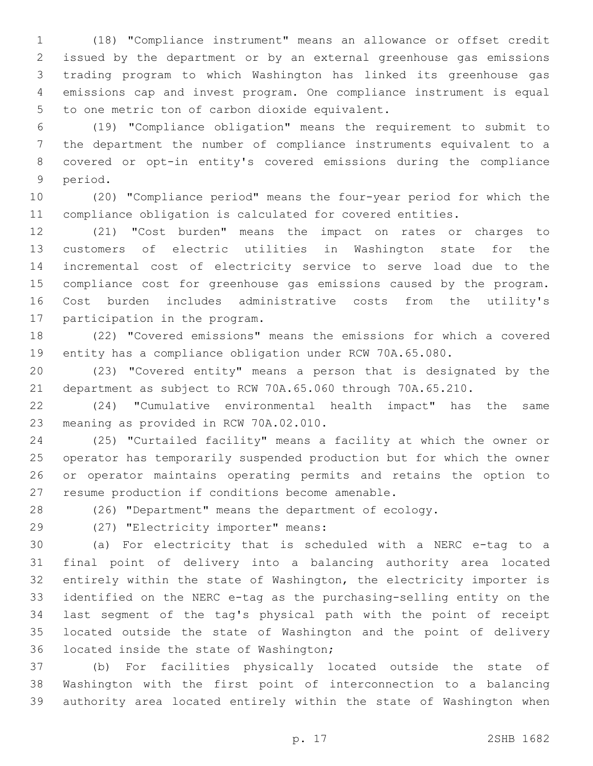(18) "Compliance instrument" means an allowance or offset credit issued by the department or by an external greenhouse gas emissions trading program to which Washington has linked its greenhouse gas emissions cap and invest program. One compliance instrument is equal 5 to one metric ton of carbon dioxide equivalent.

 (19) "Compliance obligation" means the requirement to submit to the department the number of compliance instruments equivalent to a covered or opt-in entity's covered emissions during the compliance 9 period.

 (20) "Compliance period" means the four-year period for which the compliance obligation is calculated for covered entities.

 (21) "Cost burden" means the impact on rates or charges to customers of electric utilities in Washington state for the incremental cost of electricity service to serve load due to the compliance cost for greenhouse gas emissions caused by the program. Cost burden includes administrative costs from the utility's 17 participation in the program.

 (22) "Covered emissions" means the emissions for which a covered entity has a compliance obligation under RCW 70A.65.080.

 (23) "Covered entity" means a person that is designated by the department as subject to RCW 70A.65.060 through 70A.65.210.

 (24) "Cumulative environmental health impact" has the same 23 meaning as provided in RCW 70A.02.010.

 (25) "Curtailed facility" means a facility at which the owner or operator has temporarily suspended production but for which the owner or operator maintains operating permits and retains the option to 27 resume production if conditions become amenable.

(26) "Department" means the department of ecology.

(27) "Electricity importer" means:29

 (a) For electricity that is scheduled with a NERC e-tag to a final point of delivery into a balancing authority area located entirely within the state of Washington, the electricity importer is identified on the NERC e-tag as the purchasing-selling entity on the last segment of the tag's physical path with the point of receipt located outside the state of Washington and the point of delivery 36 located inside the state of Washington;

 (b) For facilities physically located outside the state of Washington with the first point of interconnection to a balancing authority area located entirely within the state of Washington when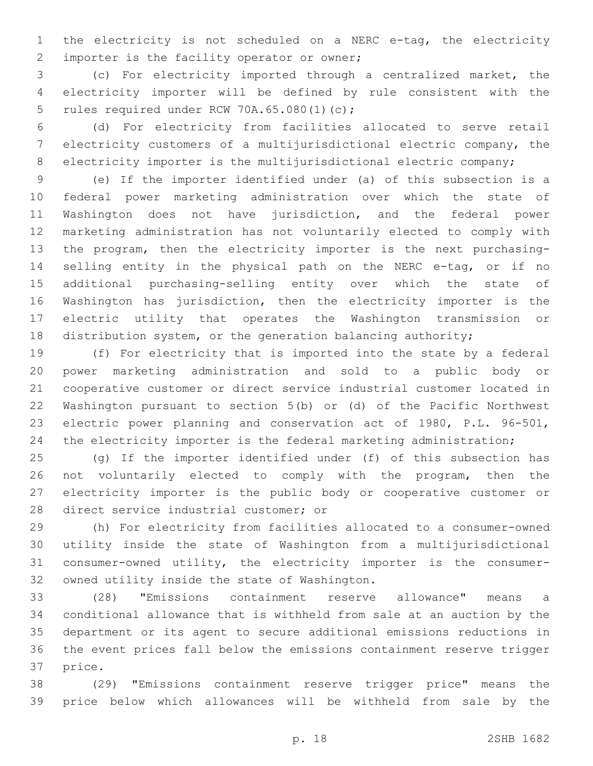the electricity is not scheduled on a NERC e-tag, the electricity 2 importer is the facility operator or owner;

 (c) For electricity imported through a centralized market, the electricity importer will be defined by rule consistent with the 5 rules required under RCW 70A.65.080(1)(c);

 (d) For electricity from facilities allocated to serve retail electricity customers of a multijurisdictional electric company, the 8 electricity importer is the multijurisdictional electric company;

 (e) If the importer identified under (a) of this subsection is a federal power marketing administration over which the state of Washington does not have jurisdiction, and the federal power marketing administration has not voluntarily elected to comply with the program, then the electricity importer is the next purchasing- selling entity in the physical path on the NERC e-tag, or if no additional purchasing-selling entity over which the state of Washington has jurisdiction, then the electricity importer is the electric utility that operates the Washington transmission or distribution system, or the generation balancing authority;

 (f) For electricity that is imported into the state by a federal power marketing administration and sold to a public body or cooperative customer or direct service industrial customer located in Washington pursuant to section 5(b) or (d) of the Pacific Northwest electric power planning and conservation act of 1980, P.L. 96-501, 24 the electricity importer is the federal marketing administration;

 (g) If the importer identified under (f) of this subsection has not voluntarily elected to comply with the program, then the electricity importer is the public body or cooperative customer or 28 direct service industrial customer; or

 (h) For electricity from facilities allocated to a consumer-owned utility inside the state of Washington from a multijurisdictional consumer-owned utility, the electricity importer is the consumer-32 owned utility inside the state of Washington.

 (28) "Emissions containment reserve allowance" means a conditional allowance that is withheld from sale at an auction by the department or its agent to secure additional emissions reductions in the event prices fall below the emissions containment reserve trigger 37 price.

 (29) "Emissions containment reserve trigger price" means the price below which allowances will be withheld from sale by the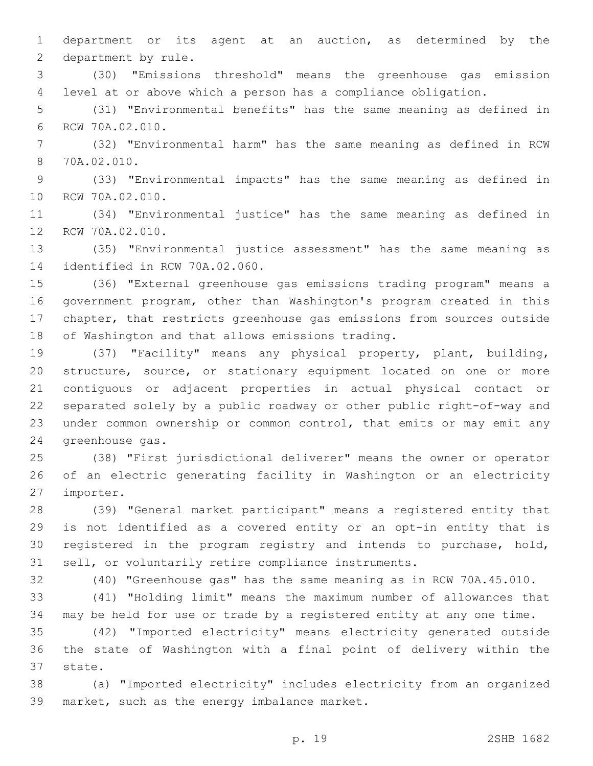department or its agent at an auction, as determined by the 2 department by rule.

 (30) "Emissions threshold" means the greenhouse gas emission level at or above which a person has a compliance obligation.

 (31) "Environmental benefits" has the same meaning as defined in 6 RCW 70A.02.010.

 (32) "Environmental harm" has the same meaning as defined in RCW 70A.02.010.8

 (33) "Environmental impacts" has the same meaning as defined in 10 RCW 70A.02.010.

 (34) "Environmental justice" has the same meaning as defined in 12 RCW 70A.02.010.

 (35) "Environmental justice assessment" has the same meaning as 14 identified in RCW 70A.02.060.

 (36) "External greenhouse gas emissions trading program" means a government program, other than Washington's program created in this chapter, that restricts greenhouse gas emissions from sources outside 18 of Washington and that allows emissions trading.

 (37) "Facility" means any physical property, plant, building, structure, source, or stationary equipment located on one or more contiguous or adjacent properties in actual physical contact or separated solely by a public roadway or other public right-of-way and under common ownership or common control, that emits or may emit any 24 greenhouse gas.

 (38) "First jurisdictional deliverer" means the owner or operator of an electric generating facility in Washington or an electricity 27 importer.

 (39) "General market participant" means a registered entity that is not identified as a covered entity or an opt-in entity that is registered in the program registry and intends to purchase, hold, sell, or voluntarily retire compliance instruments.

(40) "Greenhouse gas" has the same meaning as in RCW 70A.45.010.

 (41) "Holding limit" means the maximum number of allowances that may be held for use or trade by a registered entity at any one time.

 (42) "Imported electricity" means electricity generated outside the state of Washington with a final point of delivery within the 37 state.

 (a) "Imported electricity" includes electricity from an organized 39 market, such as the energy imbalance market.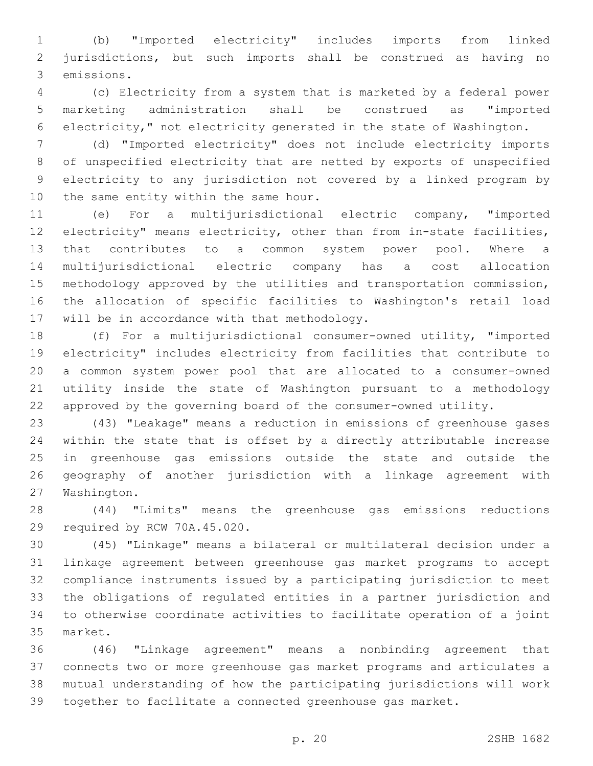(b) "Imported electricity" includes imports from linked jurisdictions, but such imports shall be construed as having no 3 emissions.

 (c) Electricity from a system that is marketed by a federal power marketing administration shall be construed as "imported electricity," not electricity generated in the state of Washington.

 (d) "Imported electricity" does not include electricity imports of unspecified electricity that are netted by exports of unspecified electricity to any jurisdiction not covered by a linked program by 10 the same entity within the same hour.

 (e) For a multijurisdictional electric company, "imported electricity" means electricity, other than from in-state facilities, that contributes to a common system power pool. Where a multijurisdictional electric company has a cost allocation methodology approved by the utilities and transportation commission, the allocation of specific facilities to Washington's retail load 17 will be in accordance with that methodology.

 (f) For a multijurisdictional consumer-owned utility, "imported electricity" includes electricity from facilities that contribute to a common system power pool that are allocated to a consumer-owned utility inside the state of Washington pursuant to a methodology approved by the governing board of the consumer-owned utility.

 (43) "Leakage" means a reduction in emissions of greenhouse gases within the state that is offset by a directly attributable increase in greenhouse gas emissions outside the state and outside the geography of another jurisdiction with a linkage agreement with 27 Washington.

 (44) "Limits" means the greenhouse gas emissions reductions 29 required by RCW 70A.45.020.

 (45) "Linkage" means a bilateral or multilateral decision under a linkage agreement between greenhouse gas market programs to accept compliance instruments issued by a participating jurisdiction to meet the obligations of regulated entities in a partner jurisdiction and to otherwise coordinate activities to facilitate operation of a joint 35 market.

 (46) "Linkage agreement" means a nonbinding agreement that connects two or more greenhouse gas market programs and articulates a mutual understanding of how the participating jurisdictions will work together to facilitate a connected greenhouse gas market.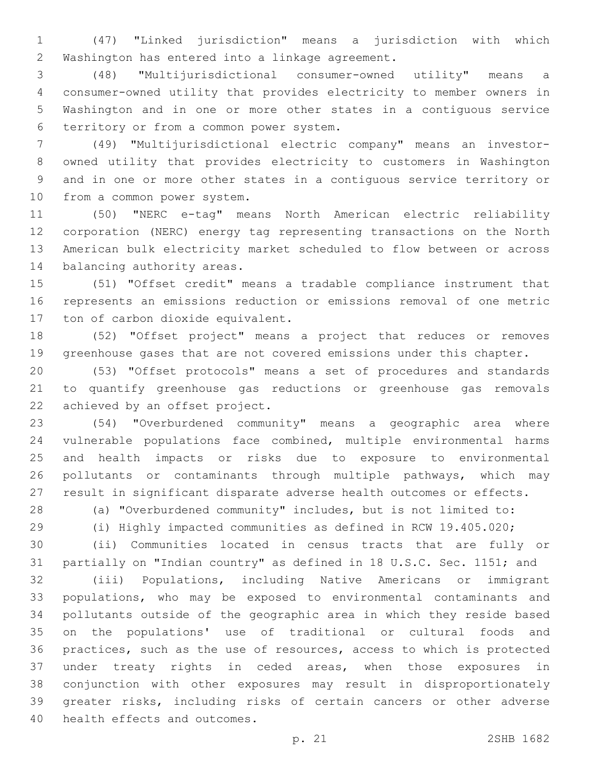(47) "Linked jurisdiction" means a jurisdiction with which 2 Washington has entered into a linkage agreement.

 (48) "Multijurisdictional consumer-owned utility" means a consumer-owned utility that provides electricity to member owners in Washington and in one or more other states in a contiguous service 6 territory or from a common power system.

 (49) "Multijurisdictional electric company" means an investor- owned utility that provides electricity to customers in Washington and in one or more other states in a contiguous service territory or 10 from a common power system.

 (50) "NERC e-tag" means North American electric reliability corporation (NERC) energy tag representing transactions on the North American bulk electricity market scheduled to flow between or across 14 balancing authority areas.

 (51) "Offset credit" means a tradable compliance instrument that represents an emissions reduction or emissions removal of one metric 17 ton of carbon dioxide equivalent.

 (52) "Offset project" means a project that reduces or removes greenhouse gases that are not covered emissions under this chapter.

 (53) "Offset protocols" means a set of procedures and standards to quantify greenhouse gas reductions or greenhouse gas removals 22 achieved by an offset project.

 (54) "Overburdened community" means a geographic area where vulnerable populations face combined, multiple environmental harms and health impacts or risks due to exposure to environmental pollutants or contaminants through multiple pathways, which may result in significant disparate adverse health outcomes or effects.

(a) "Overburdened community" includes, but is not limited to:

(i) Highly impacted communities as defined in RCW 19.405.020;

 (ii) Communities located in census tracts that are fully or partially on "Indian country" as defined in 18 U.S.C. Sec. 1151; and

 (iii) Populations, including Native Americans or immigrant populations, who may be exposed to environmental contaminants and pollutants outside of the geographic area in which they reside based on the populations' use of traditional or cultural foods and practices, such as the use of resources, access to which is protected under treaty rights in ceded areas, when those exposures in conjunction with other exposures may result in disproportionately greater risks, including risks of certain cancers or other adverse 40 health effects and outcomes.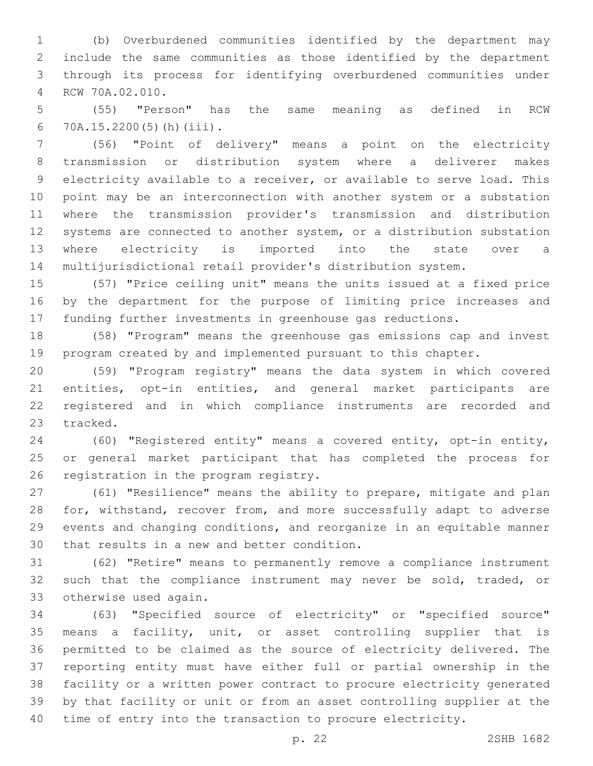(b) Overburdened communities identified by the department may include the same communities as those identified by the department through its process for identifying overburdened communities under RCW 70A.02.010.4

 (55) "Person" has the same meaning as defined in RCW 70A.15.2200(5)(h)(iii).6

 (56) "Point of delivery" means a point on the electricity transmission or distribution system where a deliverer makes electricity available to a receiver, or available to serve load. This point may be an interconnection with another system or a substation where the transmission provider's transmission and distribution systems are connected to another system, or a distribution substation where electricity is imported into the state over a multijurisdictional retail provider's distribution system.

 (57) "Price ceiling unit" means the units issued at a fixed price by the department for the purpose of limiting price increases and funding further investments in greenhouse gas reductions.

 (58) "Program" means the greenhouse gas emissions cap and invest program created by and implemented pursuant to this chapter.

 (59) "Program registry" means the data system in which covered entities, opt-in entities, and general market participants are registered and in which compliance instruments are recorded and 23 tracked.

 (60) "Registered entity" means a covered entity, opt-in entity, or general market participant that has completed the process for 26 registration in the program registry.

 (61) "Resilience" means the ability to prepare, mitigate and plan for, withstand, recover from, and more successfully adapt to adverse events and changing conditions, and reorganize in an equitable manner 30 that results in a new and better condition.

 (62) "Retire" means to permanently remove a compliance instrument 32 such that the compliance instrument may never be sold, traded, or 33 otherwise used again.

 (63) "Specified source of electricity" or "specified source" means a facility, unit, or asset controlling supplier that is permitted to be claimed as the source of electricity delivered. The reporting entity must have either full or partial ownership in the facility or a written power contract to procure electricity generated by that facility or unit or from an asset controlling supplier at the time of entry into the transaction to procure electricity.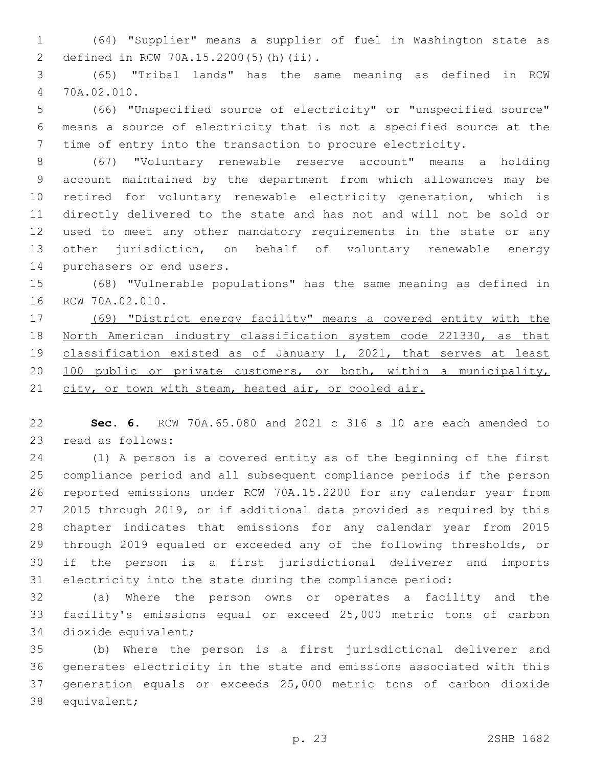(64) "Supplier" means a supplier of fuel in Washington state as defined in RCW 70A.15.2200(5)(h)(ii).2

 (65) "Tribal lands" has the same meaning as defined in RCW 70A.02.010.4

 (66) "Unspecified source of electricity" or "unspecified source" means a source of electricity that is not a specified source at the time of entry into the transaction to procure electricity.

 (67) "Voluntary renewable reserve account" means a holding account maintained by the department from which allowances may be retired for voluntary renewable electricity generation, which is directly delivered to the state and has not and will not be sold or used to meet any other mandatory requirements in the state or any other jurisdiction, on behalf of voluntary renewable energy 14 purchasers or end users.

 (68) "Vulnerable populations" has the same meaning as defined in 16 RCW 70A.02.010.

 (69) "District energy facility" means a covered entity with the North American industry classification system code 221330, as that classification existed as of January 1, 2021, that serves at least 100 public or private customers, or both, within a municipality, 21 city, or town with steam, heated air, or cooled air.

 **Sec. 6.** RCW 70A.65.080 and 2021 c 316 s 10 are each amended to 23 read as follows:

 (1) A person is a covered entity as of the beginning of the first compliance period and all subsequent compliance periods if the person reported emissions under RCW 70A.15.2200 for any calendar year from 2015 through 2019, or if additional data provided as required by this chapter indicates that emissions for any calendar year from 2015 through 2019 equaled or exceeded any of the following thresholds, or if the person is a first jurisdictional deliverer and imports electricity into the state during the compliance period:

 (a) Where the person owns or operates a facility and the facility's emissions equal or exceed 25,000 metric tons of carbon 34 dioxide equivalent;

 (b) Where the person is a first jurisdictional deliverer and generates electricity in the state and emissions associated with this generation equals or exceeds 25,000 metric tons of carbon dioxide 38 equivalent;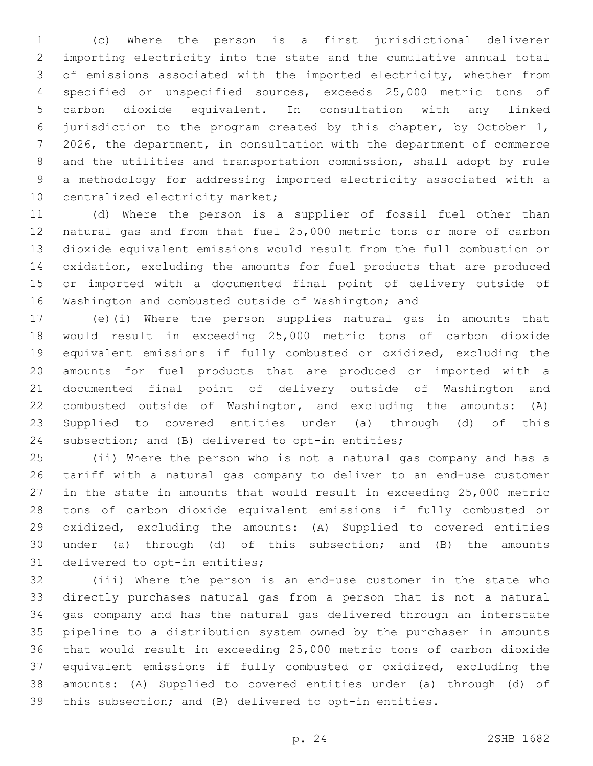(c) Where the person is a first jurisdictional deliverer importing electricity into the state and the cumulative annual total of emissions associated with the imported electricity, whether from specified or unspecified sources, exceeds 25,000 metric tons of carbon dioxide equivalent. In consultation with any linked jurisdiction to the program created by this chapter, by October 1, 2026, the department, in consultation with the department of commerce and the utilities and transportation commission, shall adopt by rule a methodology for addressing imported electricity associated with a 10 centralized electricity market;

 (d) Where the person is a supplier of fossil fuel other than natural gas and from that fuel 25,000 metric tons or more of carbon dioxide equivalent emissions would result from the full combustion or oxidation, excluding the amounts for fuel products that are produced or imported with a documented final point of delivery outside of Washington and combusted outside of Washington; and

 (e)(i) Where the person supplies natural gas in amounts that would result in exceeding 25,000 metric tons of carbon dioxide equivalent emissions if fully combusted or oxidized, excluding the amounts for fuel products that are produced or imported with a documented final point of delivery outside of Washington and combusted outside of Washington, and excluding the amounts: (A) Supplied to covered entities under (a) through (d) of this 24 subsection; and (B) delivered to opt-in entities;

 (ii) Where the person who is not a natural gas company and has a tariff with a natural gas company to deliver to an end-use customer in the state in amounts that would result in exceeding 25,000 metric tons of carbon dioxide equivalent emissions if fully combusted or oxidized, excluding the amounts: (A) Supplied to covered entities under (a) through (d) of this subsection; and (B) the amounts 31 delivered to opt-in entities;

 (iii) Where the person is an end-use customer in the state who directly purchases natural gas from a person that is not a natural gas company and has the natural gas delivered through an interstate pipeline to a distribution system owned by the purchaser in amounts that would result in exceeding 25,000 metric tons of carbon dioxide equivalent emissions if fully combusted or oxidized, excluding the amounts: (A) Supplied to covered entities under (a) through (d) of this subsection; and (B) delivered to opt-in entities.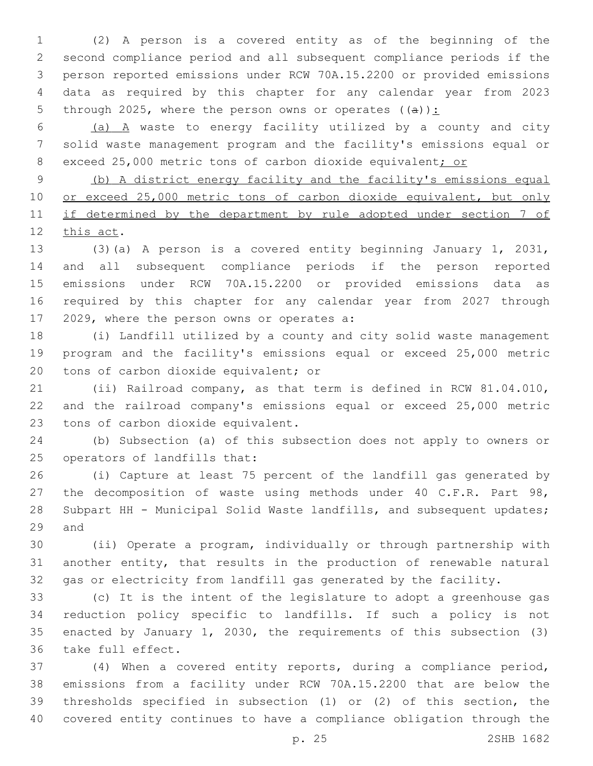(2) A person is a covered entity as of the beginning of the second compliance period and all subsequent compliance periods if the person reported emissions under RCW 70A.15.2200 or provided emissions data as required by this chapter for any calendar year from 2023 5 through 2025, where the person owns or operates  $((a))$ :

 (a) A waste to energy facility utilized by a county and city solid waste management program and the facility's emissions equal or 8 exceed 25,000 metric tons of carbon dioxide equivalent; or

 (b) A district energy facility and the facility's emissions equal 10 or exceed 25,000 metric tons of carbon dioxide equivalent, but only 11 if determined by the department by rule adopted under section 7 of 12 this act.

 (3)(a) A person is a covered entity beginning January 1, 2031, and all subsequent compliance periods if the person reported emissions under RCW 70A.15.2200 or provided emissions data as required by this chapter for any calendar year from 2027 through 17 2029, where the person owns or operates a:

 (i) Landfill utilized by a county and city solid waste management program and the facility's emissions equal or exceed 25,000 metric 20 tons of carbon dioxide equivalent; or

 (ii) Railroad company, as that term is defined in RCW 81.04.010, and the railroad company's emissions equal or exceed 25,000 metric 23 tons of carbon dioxide equivalent.

 (b) Subsection (a) of this subsection does not apply to owners or 25 operators of landfills that:

 (i) Capture at least 75 percent of the landfill gas generated by 27 the decomposition of waste using methods under 40 C.F.R. Part 98, Subpart HH - Municipal Solid Waste landfills, and subsequent updates; 29 and

 (ii) Operate a program, individually or through partnership with another entity, that results in the production of renewable natural gas or electricity from landfill gas generated by the facility.

 (c) It is the intent of the legislature to adopt a greenhouse gas reduction policy specific to landfills. If such a policy is not enacted by January 1, 2030, the requirements of this subsection (3) 36 take full effect.

 (4) When a covered entity reports, during a compliance period, emissions from a facility under RCW 70A.15.2200 that are below the thresholds specified in subsection (1) or (2) of this section, the covered entity continues to have a compliance obligation through the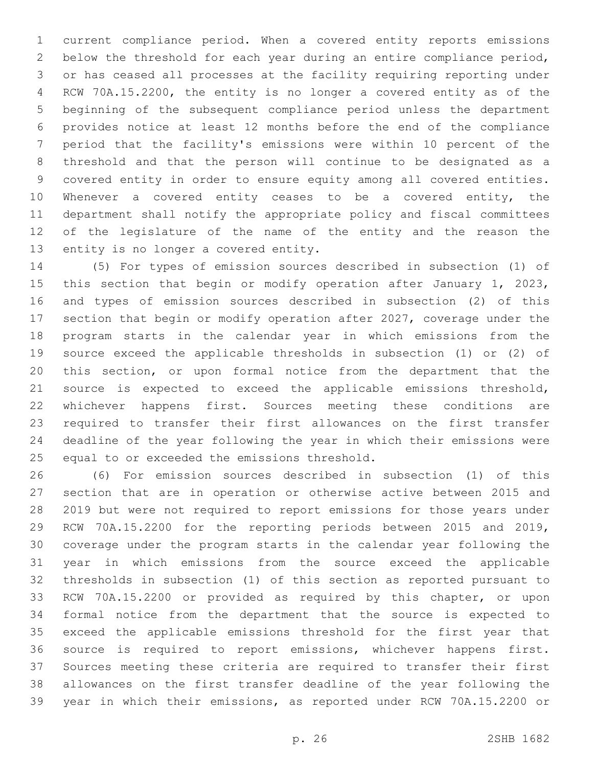current compliance period. When a covered entity reports emissions below the threshold for each year during an entire compliance period, or has ceased all processes at the facility requiring reporting under RCW 70A.15.2200, the entity is no longer a covered entity as of the beginning of the subsequent compliance period unless the department provides notice at least 12 months before the end of the compliance period that the facility's emissions were within 10 percent of the threshold and that the person will continue to be designated as a covered entity in order to ensure equity among all covered entities. Whenever a covered entity ceases to be a covered entity, the department shall notify the appropriate policy and fiscal committees of the legislature of the name of the entity and the reason the 13 entity is no longer a covered entity.

 (5) For types of emission sources described in subsection (1) of 15 this section that begin or modify operation after January 1, 2023, and types of emission sources described in subsection (2) of this section that begin or modify operation after 2027, coverage under the program starts in the calendar year in which emissions from the source exceed the applicable thresholds in subsection (1) or (2) of this section, or upon formal notice from the department that the source is expected to exceed the applicable emissions threshold, whichever happens first. Sources meeting these conditions are required to transfer their first allowances on the first transfer deadline of the year following the year in which their emissions were 25 equal to or exceeded the emissions threshold.

 (6) For emission sources described in subsection (1) of this section that are in operation or otherwise active between 2015 and 2019 but were not required to report emissions for those years under RCW 70A.15.2200 for the reporting periods between 2015 and 2019, coverage under the program starts in the calendar year following the year in which emissions from the source exceed the applicable thresholds in subsection (1) of this section as reported pursuant to RCW 70A.15.2200 or provided as required by this chapter, or upon formal notice from the department that the source is expected to exceed the applicable emissions threshold for the first year that source is required to report emissions, whichever happens first. Sources meeting these criteria are required to transfer their first allowances on the first transfer deadline of the year following the year in which their emissions, as reported under RCW 70A.15.2200 or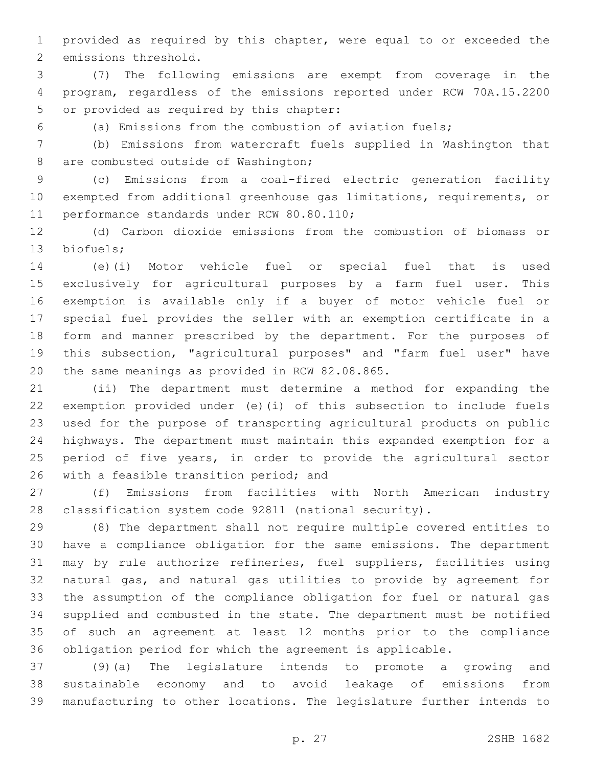provided as required by this chapter, were equal to or exceeded the 2 emissions threshold.

 (7) The following emissions are exempt from coverage in the program, regardless of the emissions reported under RCW 70A.15.2200 5 or provided as required by this chapter:

(a) Emissions from the combustion of aviation fuels;

 (b) Emissions from watercraft fuels supplied in Washington that 8 are combusted outside of Washington;

 (c) Emissions from a coal-fired electric generation facility exempted from additional greenhouse gas limitations, requirements, or 11 performance standards under RCW 80.80.110;

 (d) Carbon dioxide emissions from the combustion of biomass or 13 biofuels;

 (e)(i) Motor vehicle fuel or special fuel that is used exclusively for agricultural purposes by a farm fuel user. This exemption is available only if a buyer of motor vehicle fuel or special fuel provides the seller with an exemption certificate in a form and manner prescribed by the department. For the purposes of this subsection, "agricultural purposes" and "farm fuel user" have 20 the same meanings as provided in RCW 82.08.865.

 (ii) The department must determine a method for expanding the exemption provided under (e)(i) of this subsection to include fuels used for the purpose of transporting agricultural products on public highways. The department must maintain this expanded exemption for a period of five years, in order to provide the agricultural sector 26 with a feasible transition period; and

 (f) Emissions from facilities with North American industry classification system code 92811 (national security).

 (8) The department shall not require multiple covered entities to have a compliance obligation for the same emissions. The department may by rule authorize refineries, fuel suppliers, facilities using natural gas, and natural gas utilities to provide by agreement for the assumption of the compliance obligation for fuel or natural gas supplied and combusted in the state. The department must be notified of such an agreement at least 12 months prior to the compliance obligation period for which the agreement is applicable.

 (9)(a) The legislature intends to promote a growing and sustainable economy and to avoid leakage of emissions from manufacturing to other locations. The legislature further intends to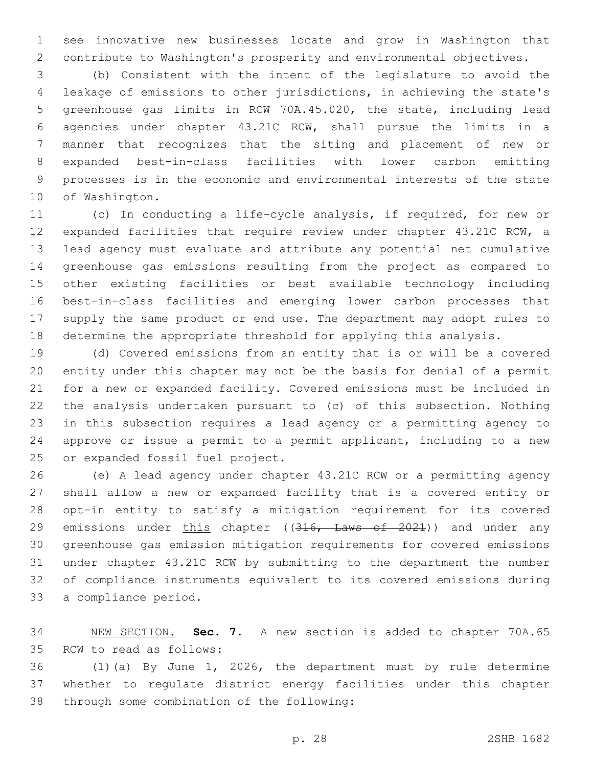see innovative new businesses locate and grow in Washington that contribute to Washington's prosperity and environmental objectives.

 (b) Consistent with the intent of the legislature to avoid the leakage of emissions to other jurisdictions, in achieving the state's greenhouse gas limits in RCW 70A.45.020, the state, including lead agencies under chapter 43.21C RCW, shall pursue the limits in a manner that recognizes that the siting and placement of new or expanded best-in-class facilities with lower carbon emitting processes is in the economic and environmental interests of the state 10 of Washington.

 (c) In conducting a life-cycle analysis, if required, for new or expanded facilities that require review under chapter 43.21C RCW, a lead agency must evaluate and attribute any potential net cumulative greenhouse gas emissions resulting from the project as compared to other existing facilities or best available technology including best-in-class facilities and emerging lower carbon processes that supply the same product or end use. The department may adopt rules to determine the appropriate threshold for applying this analysis.

 (d) Covered emissions from an entity that is or will be a covered entity under this chapter may not be the basis for denial of a permit for a new or expanded facility. Covered emissions must be included in the analysis undertaken pursuant to (c) of this subsection. Nothing in this subsection requires a lead agency or a permitting agency to approve or issue a permit to a permit applicant, including to a new 25 or expanded fossil fuel project.

 (e) A lead agency under chapter 43.21C RCW or a permitting agency shall allow a new or expanded facility that is a covered entity or opt-in entity to satisfy a mitigation requirement for its covered 29 emissions under this chapter ((316, Laws of 2021)) and under any greenhouse gas emission mitigation requirements for covered emissions under chapter 43.21C RCW by submitting to the department the number of compliance instruments equivalent to its covered emissions during 33 a compliance period.

 NEW SECTION. **Sec. 7.** A new section is added to chapter 70A.65 35 RCW to read as follows:

 (1)(a) By June 1, 2026, the department must by rule determine whether to regulate district energy facilities under this chapter 38 through some combination of the following: